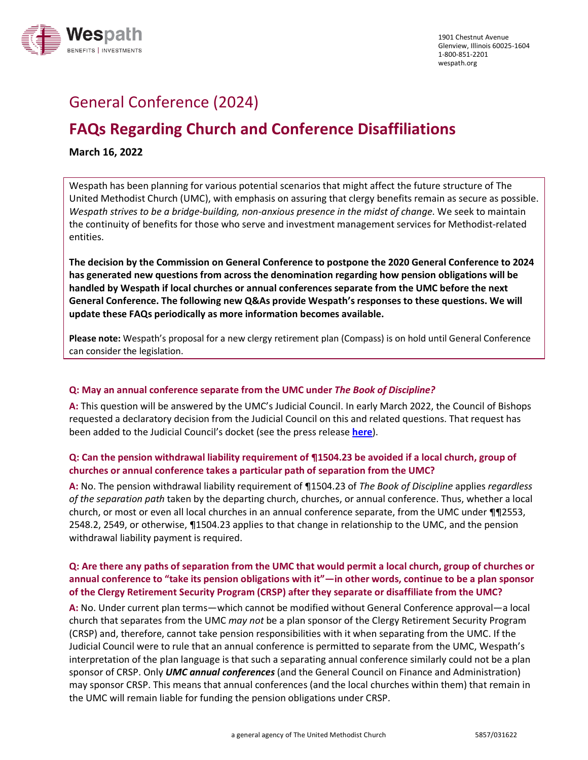

# General Conference (2024)

# **FAQs Regarding Church and Conference Disaffiliations**

**March 16, 2022**

Wespath has been planning for various potential scenarios that might affect the future structure of The United Methodist Church (UMC), with emphasis on assuring that clergy benefits remain as secure as possible. *Wespath strives to be a bridge-building, non-anxious presence in the midst of change*. We seek to maintain the continuity of benefits for those who serve and investment management services for Methodist-related entities.

**The decision by the Commission on General Conference to postpone the 2020 General Conference to 2024 has generated new questions from across the denomination regarding how pension obligations will be handled by Wespath if local churches or annual conferences separate from the UMC before the next General Conference. The following new Q&As provide Wespath's responses to these questions. We will update these FAQs periodically as more information becomes available.**

**Please note:** Wespath's proposal for a new clergy retirement plan (Compass) is on hold until General Conference can consider the legislation.

#### **Q: May an annual conference separate from the UMC under** *The Book of Discipline?*

**A:** This question will be answered by the UMC's Judicial Council. In early March 2022, the Council of Bishops requested a declaratory decision from the Judicial Council on this and related questions. That request has been added to the Judicial Council's docket (see the press release **[here](https://www.resourceumc.org/en/content/church-court-adds-annual-conference-questions-to-docket?mkt_tok=MDc4LUpYUS02NDMAAAGDGd0WtFqCi1qVrhR1mnElFWAPQ_auSYv_LGOFlO2jdoeqldqtdaE3pZGw_o4E-ybXuyb5hKmpAHD-TOUrnwEGPgaw-nlG6wIvO3YiyECMHx7hveQ)**).

#### **Q: Can the pension withdrawal liability requirement of ¶1504.23 be avoided if a local church, group of churches or annual conference takes a particular path of separation from the UMC?**

**A:** No. The pension withdrawal liability requirement of ¶1504.23 of *The Book of Discipline* applies *regardless of the separation path* taken by the departing church, churches, or annual conference. Thus, whether a local church, or most or even all local churches in an annual conference separate, from the UMC under ¶¶2553, 2548.2, 2549, or otherwise, ¶1504.23 applies to that change in relationship to the UMC, and the pension withdrawal liability payment is required.

#### **Q: Are there any paths of separation from the UMC that would permit a local church, group of churches or annual conference to "take its pension obligations with it"—in other words, continue to be a plan sponsor of the Clergy Retirement Security Program (CRSP) after they separate or disaffiliate from the UMC?**

**A:** No. Under current plan terms—which cannot be modified without General Conference approval—a local church that separates from the UMC *may not* be a plan sponsor of the Clergy Retirement Security Program (CRSP) and, therefore, cannot take pension responsibilities with it when separating from the UMC. If the Judicial Council were to rule that an annual conference is permitted to separate from the UMC, Wespath's interpretation of the plan language is that such a separating annual conference similarly could not be a plan sponsor of CRSP. Only *UMC annual conferences* (and the General Council on Finance and Administration) may sponsor CRSP. This means that annual conferences (and the local churches within them) that remain in the UMC will remain liable for funding the pension obligations under CRSP.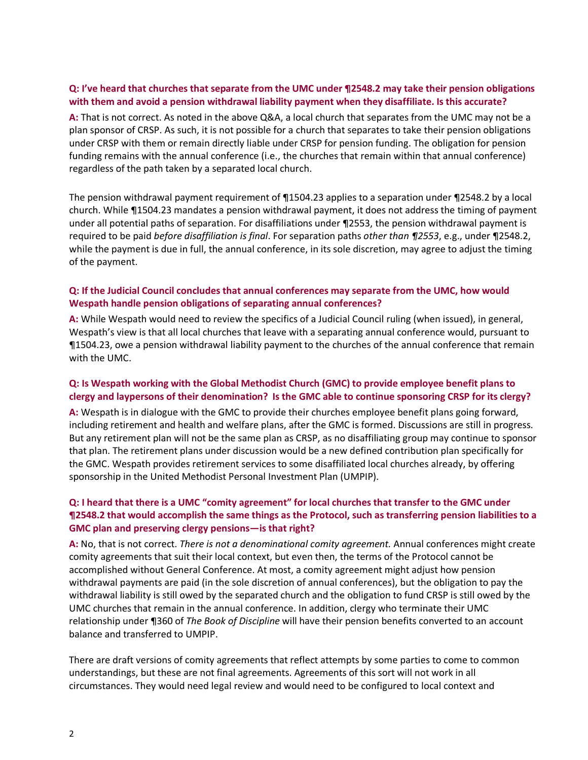#### **Q: I've heard that churches that separate from the UMC under ¶2548.2 may take their pension obligations with them and avoid a pension withdrawal liability payment when they disaffiliate. Is this accurate?**

**A:** That is not correct. As noted in the above Q&A, a local church that separates from the UMC may not be a plan sponsor of CRSP. As such, it is not possible for a church that separates to take their pension obligations under CRSP with them or remain directly liable under CRSP for pension funding. The obligation for pension funding remains with the annual conference (i.e., the churches that remain within that annual conference) regardless of the path taken by a separated local church.

The pension withdrawal payment requirement of ¶1504.23 applies to a separation under ¶2548.2 by a local church. While ¶1504.23 mandates a pension withdrawal payment, it does not address the timing of payment under all potential paths of separation. For disaffiliations under ¶2553, the pension withdrawal payment is required to be paid *before disaffiliation is final*. For separation paths *other than ¶2553*, e.g., under ¶2548.2, while the payment is due in full, the annual conference, in its sole discretion, may agree to adjust the timing of the payment.

#### **Q: If the Judicial Council concludes that annual conferences may separate from the UMC, how would Wespath handle pension obligations of separating annual conferences?**

**A:** While Wespath would need to review the specifics of a Judicial Council ruling (when issued), in general, Wespath's view is that all local churches that leave with a separating annual conference would, pursuant to ¶1504.23, owe a pension withdrawal liability payment to the churches of the annual conference that remain with the UMC.

#### **Q: Is Wespath working with the Global Methodist Church (GMC) to provide employee benefit plans to clergy and laypersons of their denomination? Is the GMC able to continue sponsoring CRSP for its clergy?**

**A:** Wespath is in dialogue with the GMC to provide their churches employee benefit plans going forward, including retirement and health and welfare plans, after the GMC is formed. Discussions are still in progress. But any retirement plan will not be the same plan as CRSP, as no disaffiliating group may continue to sponsor that plan. The retirement plans under discussion would be a new defined contribution plan specifically for the GMC. Wespath provides retirement services to some disaffiliated local churches already, by offering sponsorship in the United Methodist Personal Investment Plan (UMPIP).

### **Q: I heard that there is a UMC "comity agreement" for local churches that transfer to the GMC under ¶2548.2 that would accomplish the same things as the Protocol, such as transferring pension liabilities to a GMC plan and preserving clergy pensions—is that right?**

**A:** No, that is not correct. *There is not a denominational comity agreement.* Annual conferences might create comity agreements that suit their local context, but even then, the terms of the Protocol cannot be accomplished without General Conference. At most, a comity agreement might adjust how pension withdrawal payments are paid (in the sole discretion of annual conferences), but the obligation to pay the withdrawal liability is still owed by the separated church and the obligation to fund CRSP is still owed by the UMC churches that remain in the annual conference. In addition, clergy who terminate their UMC relationship under ¶360 of *The Book of Discipline* will have their pension benefits converted to an account balance and transferred to UMPIP.

There are draft versions of comity agreements that reflect attempts by some parties to come to common understandings, but these are not final agreements. Agreements of this sort will not work in all circumstances. They would need legal review and would need to be configured to local context and